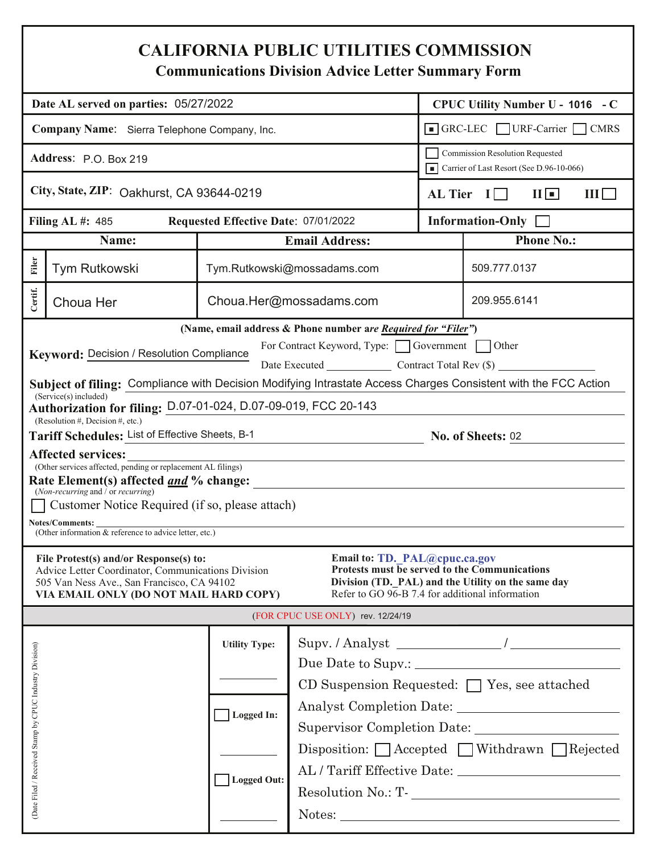## **CALIFORNIA PUBLIC UTILITIES COMMISSION**

**Communications Division Advice Letter Summary Form** 

|                                                                                                                                                 | Date AL served on parties: 05/27/2022                                                                                                                                                                                                                                                                                                                                                                                                                                                                                                                                                                                                                                                                                                                                                                                                                                      |                                      |                                                                                                                                                                       |                                         | CPUC Utility Number U - 1016 - C                                                                                                                                                    |  |
|-------------------------------------------------------------------------------------------------------------------------------------------------|----------------------------------------------------------------------------------------------------------------------------------------------------------------------------------------------------------------------------------------------------------------------------------------------------------------------------------------------------------------------------------------------------------------------------------------------------------------------------------------------------------------------------------------------------------------------------------------------------------------------------------------------------------------------------------------------------------------------------------------------------------------------------------------------------------------------------------------------------------------------------|--------------------------------------|-----------------------------------------------------------------------------------------------------------------------------------------------------------------------|-----------------------------------------|-------------------------------------------------------------------------------------------------------------------------------------------------------------------------------------|--|
|                                                                                                                                                 |                                                                                                                                                                                                                                                                                                                                                                                                                                                                                                                                                                                                                                                                                                                                                                                                                                                                            |                                      |                                                                                                                                                                       |                                         |                                                                                                                                                                                     |  |
| Company Name: Sierra Telephone Company, Inc.                                                                                                    |                                                                                                                                                                                                                                                                                                                                                                                                                                                                                                                                                                                                                                                                                                                                                                                                                                                                            |                                      |                                                                                                                                                                       |                                         | GRC-LEC URF-Carrier CMRS                                                                                                                                                            |  |
| Address: P.O. Box 219                                                                                                                           |                                                                                                                                                                                                                                                                                                                                                                                                                                                                                                                                                                                                                                                                                                                                                                                                                                                                            |                                      |                                                                                                                                                                       |                                         | <b>Commission Resolution Requested</b><br>Carrier of Last Resort (See D.96-10-066)                                                                                                  |  |
|                                                                                                                                                 | City, State, ZIP: Oakhurst, CA 93644-0219                                                                                                                                                                                                                                                                                                                                                                                                                                                                                                                                                                                                                                                                                                                                                                                                                                  |                                      |                                                                                                                                                                       | AL Tier $I \Box$<br>$\Pi$<br>$III \Box$ |                                                                                                                                                                                     |  |
|                                                                                                                                                 | Filing AL #: $485$                                                                                                                                                                                                                                                                                                                                                                                                                                                                                                                                                                                                                                                                                                                                                                                                                                                         | Requested Effective Date: 07/01/2022 |                                                                                                                                                                       |                                         | Information-Only $\Box$                                                                                                                                                             |  |
|                                                                                                                                                 | Name:                                                                                                                                                                                                                                                                                                                                                                                                                                                                                                                                                                                                                                                                                                                                                                                                                                                                      |                                      | <b>Email Address:</b>                                                                                                                                                 |                                         | <b>Phone No.:</b>                                                                                                                                                                   |  |
| Filer                                                                                                                                           | Tym Rutkowski                                                                                                                                                                                                                                                                                                                                                                                                                                                                                                                                                                                                                                                                                                                                                                                                                                                              |                                      | Tym.Rutkowski@mossadams.com                                                                                                                                           |                                         | 509.777.0137                                                                                                                                                                        |  |
| Certif.                                                                                                                                         | Choua Her                                                                                                                                                                                                                                                                                                                                                                                                                                                                                                                                                                                                                                                                                                                                                                                                                                                                  |                                      | Choua.Her@mossadams.com                                                                                                                                               |                                         | 209.955.6141                                                                                                                                                                        |  |
|                                                                                                                                                 | Keyword: Decision / Resolution Compliance<br>Subject of filing: Compliance with Decision Modifying Intrastate Access Charges Consistent with the FCC Action<br>$(Service(s) \text{ included})$<br>Authorization for filing: D.07-01-024, D.07-09-019, FCC 20-143<br>(Resolution #, Decision #, etc.)<br>Tariff Schedules: List of Effective Sheets, B-1<br><b>Affected services:</b><br>(Other services affected, pending or replacement AL filings)<br>Rate Element(s) affected <u>and</u> % change:<br>(Non-recurring and $\delta$ or recurring)<br>Customer Notice Required (if so, please attach)<br>Notes/Comments:<br>(Other information & reference to advice letter, etc.)<br>File Protest(s) and/or Response(s) to:<br>Advice Letter Coordinator, Communications Division<br>505 Van Ness Ave., San Francisco, CA 94102<br>VIA EMAIL ONLY (DO NOT MAIL HARD COPY) |                                      | For Contract Keyword, Type: Government Other<br>Email to: TD. PAL@cpuc.ca.gov<br>Refer to GO 96-B 7.4 for additional information<br>(FOR CPUC USE ONLY) rev. 12/24/19 |                                         | Date Executed Contract Total Rev (\$)<br><u>B-1</u> No. of Sheets: <u>02</u><br>Protests must be served to the Communications<br>Division (TD. PAL) and the Utility on the same day |  |
|                                                                                                                                                 |                                                                                                                                                                                                                                                                                                                                                                                                                                                                                                                                                                                                                                                                                                                                                                                                                                                                            |                                      |                                                                                                                                                                       |                                         |                                                                                                                                                                                     |  |
| <b>Utility Type:</b><br>(Date Filed / Received Stamp by CPUC Industry Division)<br>CD Suspension Requested: [ ] Yes, see attached<br>Logged In: |                                                                                                                                                                                                                                                                                                                                                                                                                                                                                                                                                                                                                                                                                                                                                                                                                                                                            |                                      |                                                                                                                                                                       |                                         |                                                                                                                                                                                     |  |
|                                                                                                                                                 |                                                                                                                                                                                                                                                                                                                                                                                                                                                                                                                                                                                                                                                                                                                                                                                                                                                                            | <b>Logged Out:</b>                   |                                                                                                                                                                       |                                         | Disposition: Accepted Withdrawn Rejected<br>${\bf Resolution~No.:~T-}\_\_\_\_\_\_\_$<br>Notes: Notes:                                                                               |  |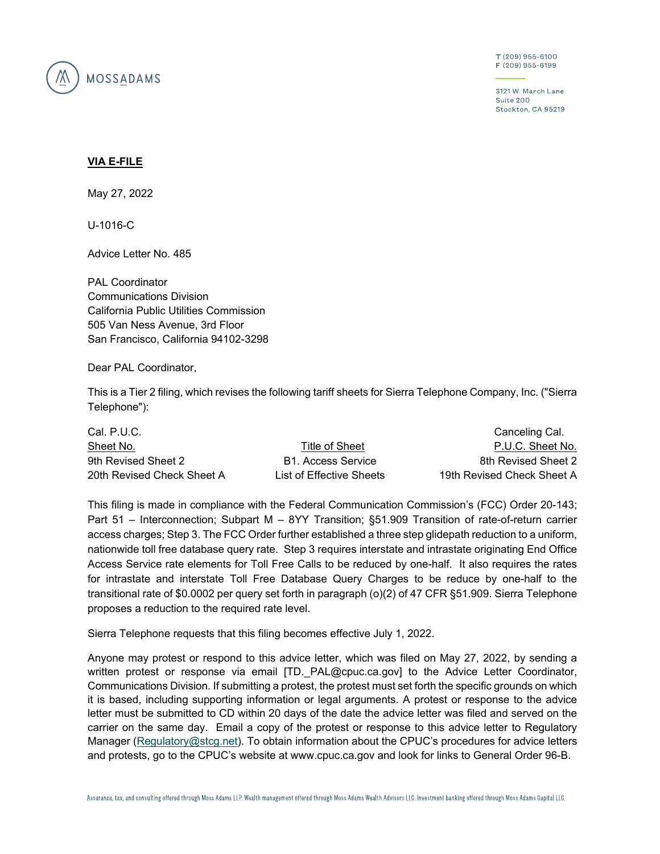

T (209) 955-6100 F (209) 955-6199

3121 W. March Lane Suite 200 Stockton, CA 95219

## **VIA E-FILE**

May 27, 2022

U-1016-C

Advice Letter No. 485

PAL Coordinator Communications Division California Public Utilities Commission 505 Van Ness Avenue, 3rd Floor San Francisco, California 94102-3298

Dear PAL Coordinator,

This is a Tier 2 filing, which revises the following tariff sheets for Sierra Telephone Company, Inc. ("Sierra Telephone"):

| Cal. P.U.C.              |                            |  |  |  |
|--------------------------|----------------------------|--|--|--|
| Title of Sheet           | P.U.C. Sheet No.           |  |  |  |
| B1. Access Service       | 8th Revised Sheet 2        |  |  |  |
| List of Effective Sheets | 19th Revised Check Sheet A |  |  |  |
|                          |                            |  |  |  |

This filing is made in compliance with the Federal Communication Commission's (FCC) Order 20-143; Part 51 – Interconnection; Subpart M – 8YY Transition; §51.909 Transition of rate-of-return carrier access charges; Step 3. The FCC Order further established a three step glidepath reduction to a uniform, nationwide toll free database query rate. Step 3 requires interstate and intrastate originating End Office Access Service rate elements for Toll Free Calls to be reduced by one-half. It also requires the rates for intrastate and interstate Toll Free Database Query Charges to be reduce by one-half to the transitional rate of \$0.0002 per query set forth in paragraph (o)(2) of 47 CFR §51.909. Sierra Telephone proposes a reduction to the required rate level.

Sierra Telephone requests that this filing becomes effective July 1, 2022.

Anyone may protest or respond to this advice letter, which was filed on May 27, 2022, by sending a written protest or response via email [TD. PAL@cpuc.ca.gov] to the Advice Letter Coordinator, Communications Division. If submitting a protest, the protest must set forth the specific grounds on which it is based, including supporting information or legal arguments. A protest or response to the advice letter must be submitted to CD within 20 days of the date the advice letter was filed and served on the carrier on the same day. Email a copy of the protest or response to this advice letter to Regulatory Manager (Regulatory@stcg.net). To obtain information about the CPUC's procedures for advice letters and protests, go to the CPUC's website at www.cpuc.ca.gov and look for links to General Order 96-B.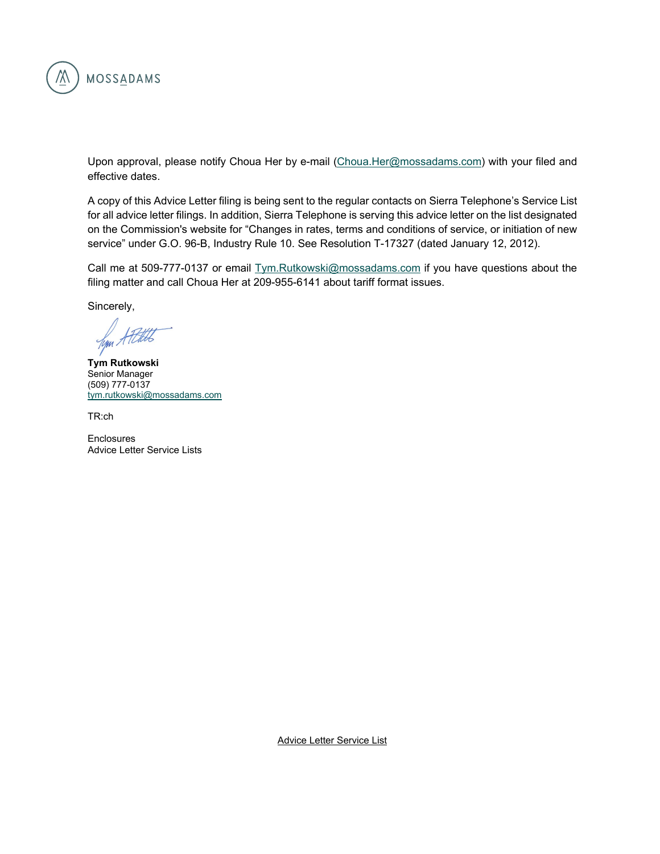

Upon approval, please notify Choua Her by e-mail (Choua.Her@mossadams.com) with your filed and effective dates.

A copy of this Advice Letter filing is being sent to the regular contacts on Sierra Telephone's Service List for all advice letter filings. In addition, Sierra Telephone is serving this advice letter on the list designated on the Commission's website for "Changes in rates, terms and conditions of service, or initiation of new service" under G.O. 96-B, Industry Rule 10. See Resolution T-17327 (dated January 12, 2012).

Call me at 509-777-0137 or email Tym.Rutkowski@mossadams.com if you have questions about the filing matter and call Choua Her at 209-955-6141 about tariff format issues.

Sincerely,

Jym.

**Tym Rutkowski**  Senior Manager (509) 777-0137 tym.rutkowski@mossadams.com

TR:ch

**Enclosures** Advice Letter Service Lists

Advice Letter Service List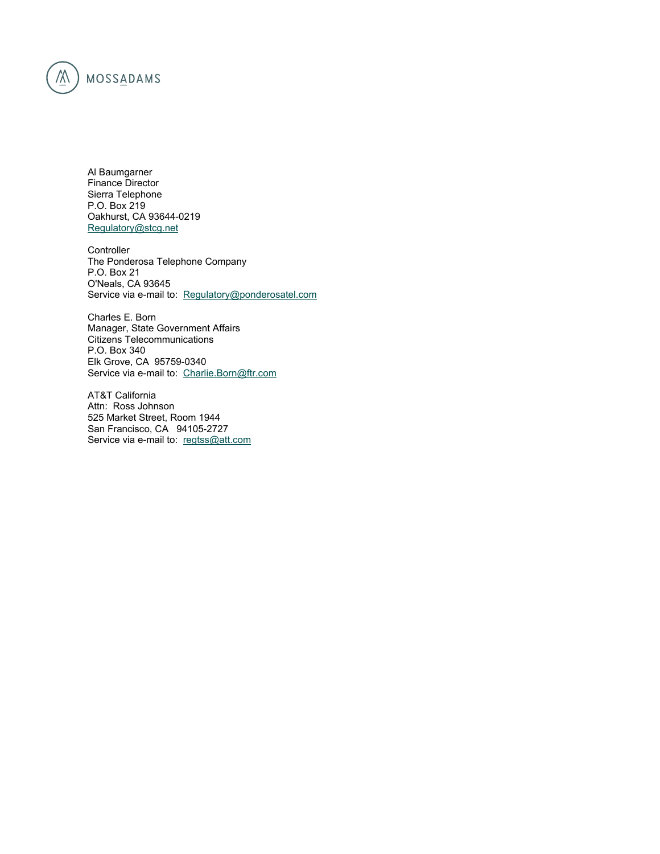

Al Baumgarner Finance Director Sierra Telephone P.O. Box 219 Oakhurst, CA 93644-0219 Regulatory@stcg.net

Controller The Ponderosa Telephone Company P.O. Box 21 O'Neals, CA 93645 Service via e-mail to: Regulatory@ponderosatel.com

Charles E. Born Manager, State Government Affairs Citizens Telecommunications P.O. Box 340 Elk Grove, CA 95759-0340 Service via e-mail to: Charlie.Born@ftr.com

AT&T California Attn: Ross Johnson 525 Market Street, Room 1944 San Francisco, CA 94105-2727 Service via e-mail to: regtss@att.com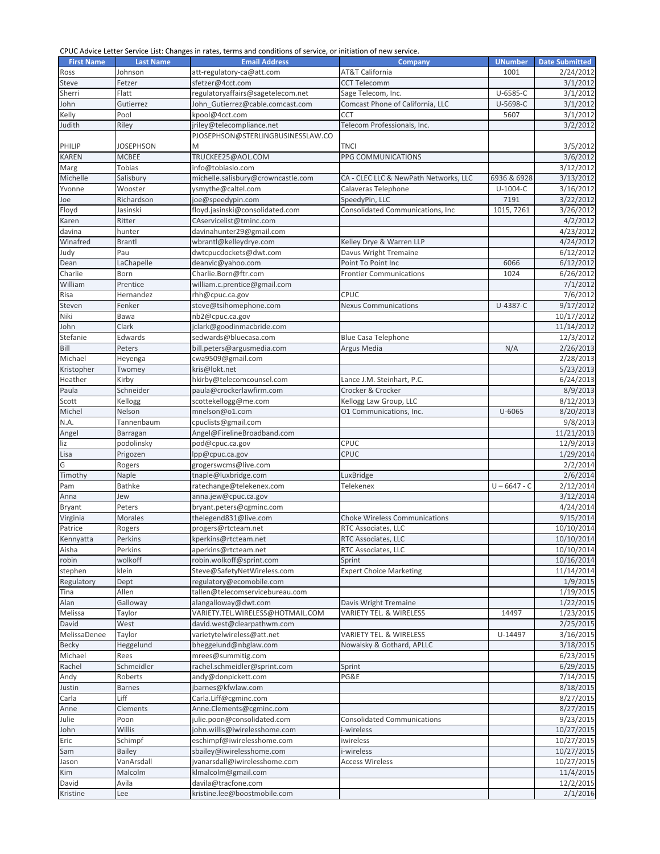## CPUC Advice Letter Service List: Changes in rates, terms and conditions of service, or initiation of new service.

| <b>First Name</b> | <b>Last Name</b> | <b>Email Address</b>                 | <b>Company</b>                        | <b>UNumber</b> | <b>Date Submitted</b> |
|-------------------|------------------|--------------------------------------|---------------------------------------|----------------|-----------------------|
| Ross              | Johnson          | att-regulatory-ca@att.com            | AT&T California                       | 1001           | 2/24/2012             |
| Steve             | Fetzer           | sfetzer@4cct.com                     | <b>CCT Telecomm</b>                   |                | 3/1/2012              |
|                   |                  |                                      |                                       |                |                       |
| Sherri            | Flatt            | regulatoryaffairs@sagetelecom.net    | Sage Telecom, Inc.                    | U-6585-C       | 3/1/2012              |
| John              | Gutierrez        | John Gutierrez@cable.comcast.com     | Comcast Phone of California, LLC      | U-5698-C       | 3/1/2012              |
| Kelly             | Pool             | kpool@4cct.com                       | <b>CCT</b>                            | 5607           | 3/1/2012              |
| Judith            | Riley            | jriley@telecompliance.net            | Telecom Professionals, Inc.           |                | 3/2/2012              |
|                   |                  | PJOSEPHSON@STERLINGBUSINESSLAW.CO    |                                       |                |                       |
| PHILIP            | <b>JOSEPHSON</b> | M                                    | TNCI                                  |                | 3/5/2012              |
| <b>KAREN</b>      | <b>MCBEE</b>     | TRUCKEE25@AOL.COM                    | PPG COMMUNICATIONS                    |                | 3/6/2012              |
|                   |                  |                                      |                                       |                |                       |
| Marg              | Tobias           | info@tobiaslo.com                    |                                       |                | 3/12/2012             |
| Michelle          | Salisbury        | michelle.salisbury@crowncastle.com   | CA - CLEC LLC & NewPath Networks, LLC | 6936 & 6928    | 3/13/2012             |
| Yvonne            | Wooster          | ysmythe@caltel.com                   | Calaveras Telephone                   | $U-1004-C$     | 3/16/2012             |
| Joe               | Richardson       | joe@speedypin.com                    | SpeedyPin, LLC                        | 7191           | 3/22/2012             |
| Floyd             | Jasinski         | floyd.jasinski@consolidated.com      | Consolidated Communications, Inc      | 1015, 7261     | 3/26/2012             |
| Karen             | Ritter           | CAservicelist@tminc.com              |                                       |                | 4/2/2012              |
| davina            | hunter           | davinahunter29@gmail.com             |                                       |                | 4/23/2012             |
|                   |                  |                                      | Kelley Drye & Warren LLP              |                |                       |
| Winafred          | <b>Brantl</b>    | wbrantl@kelleydrye.com               |                                       |                | 4/24/2012             |
| Judy              | Pau              | dwtcpucdockets@dwt.com               | Davus Wright Tremaine                 |                | 6/12/2012             |
| Dean              | LaChapelle       | deanvic@yahoo.com                    | Point To Point Inc                    | 6066           | 6/12/2012             |
| Charlie           | Born             | Charlie.Born@ftr.com                 | <b>Frontier Communications</b>        | 1024           | 6/26/2012             |
| William           | Prentice         | william.c.prentice@gmail.com         |                                       |                | 7/1/2012              |
| Risa              | Hernandez        | rhh@cpuc.ca.gov                      | CPUC                                  |                | 7/6/2012              |
| Steven            | Fenker           | steve@tsihomephone.com               | <b>Nexus Communications</b>           | U-4387-C       | 9/17/2012             |
| Niki              | Bawa             | $\overline{\text{nb}}$ 2@cpuc.ca.gov |                                       |                | 10/17/2012            |
|                   |                  |                                      |                                       |                |                       |
| John              | Clark            | jclark@goodinmacbride.com            |                                       |                | 11/14/2012            |
| Stefanie          | Edwards          | sedwards@bluecasa.com                | <b>Blue Casa Telephone</b>            |                | 12/3/2012             |
| Bill              | Peters           | bill.peters@argusmedia.com           | Argus Media                           | N/A            | 2/26/2013             |
| Michael           | Heyenga          | cwa9509@gmail.com                    |                                       |                | 2/28/2013             |
| Kristopher        | Twomey           | kris@lokt.net                        |                                       |                | 5/23/2013             |
| Heather           | Kirby            | hkirby@telecomcounsel.com            | Lance J.M. Steinhart, P.C.            |                | 6/24/2013             |
| Paula             | Schneider        | paula@crockerlawfirm.com             | Crocker & Crocker                     |                | 8/9/2013              |
|                   |                  |                                      |                                       |                |                       |
| Scott             | Kellogg          | scottekellogg@me.com                 | Kellogg Law Group, LLC                |                | 8/12/2013             |
| Michel            | Nelson           | mnelson@o1.com                       | O1 Communications, Inc.               | $U - 6065$     | 8/20/2013             |
| N.A.              | Tannenbaum       | cpuclists@gmail.com                  |                                       |                | 9/8/2013              |
| Angel             | Barragan         | Angel@FirelineBroadband.com          |                                       |                | 11/21/2013            |
| liz               | podolinsky       | pod@cpuc.ca.gov                      | CPUC                                  |                | 12/9/2013             |
| Lisa              | Prigozen         | lpp@cpuc.ca.gov                      | CPUC                                  |                | 1/29/2014             |
| G                 | Rogers           | grogerswcms@live.com                 |                                       |                | 2/2/2014              |
| Timothy           | Naple            | tnaple@luxbridge.com                 | LuxBridge                             |                | 2/6/2014              |
| Pam               | Bathke           | ratechange@telekenex.com             | <b>Telekenex</b>                      | $U - 6647 - C$ | 2/12/2014             |
|                   |                  |                                      |                                       |                |                       |
| Anna              | Jew              | anna.jew@cpuc.ca.gov                 |                                       |                | 3/12/2014             |
| <b>Bryant</b>     | Peters           | bryant.peters@cgminc.com             |                                       |                | 4/24/2014             |
| Virginia          | Morales          | thelegend831@live.com                | <b>Choke Wireless Communications</b>  |                | 9/15/2014             |
| Patrice           | Rogers           | progers@rtcteam.net                  | RTC Associates. LLC                   |                | 10/10/2014            |
| Kennyatta         | Perkins          | kperkins@rtcteam.net                 | RTC Associates, LLC                   |                | 10/10/2014            |
| Aisha             | Perkins          | aperkins@rtcteam.net                 | RTC Associates, LLC                   |                | 10/10/2014            |
| robin             | wolkoff          | robin.wolkoff@sprint.com             | Sprint                                |                | 10/16/2014            |
| stephen           | klein            | Steve@SafetyNetWireless.com          | <b>Expert Choice Marketing</b>        |                | 11/14/2014            |
|                   |                  |                                      |                                       |                |                       |
| Regulatory        | Dept             | regulatory@ecomobile.com             |                                       |                | 1/9/2015              |
| Tina              | Allen            | tallen@telecomservicebureau.com      |                                       |                | 1/19/2015             |
| Alan              | Galloway         | alangalloway@dwt.com                 | Davis Wright Tremaine                 |                | 1/22/2015             |
| Melissa           | Taylor           | VARIETY.TEL.WIRELESS@HOTMAIL.COM     | VARIETY TEL. & WIRELESS               | 14497          | 1/23/2015             |
| David             | West             | david.west@clearpathwm.com           |                                       |                | 2/25/2015             |
| MelissaDenee      | Taylor           | varietytelwireless@att.net           | VARIETY TEL. & WIRELESS               | U-14497        | 3/16/2015             |
| <b>Becky</b>      | Heggelund        | bheggelund@nbglaw.com                | Nowalsky & Gothard, APLLC             |                | 3/18/2015             |
| Michael           | Rees             | mrees@summitig.com                   |                                       |                | 6/23/2015             |
|                   |                  |                                      |                                       |                |                       |
| Rachel            | Schmeidler       | rachel.schmeidler@sprint.com         | Sprint                                |                | 6/29/2015             |
| Andy              | Roberts          | andy@donpickett.com                  | PG&E                                  |                | 7/14/2015             |
| Justin            | <b>Barnes</b>    | jbarnes@kfwlaw.com                   |                                       |                | 8/18/2015             |
| Carla             | Liff             | Carla.Liff@cgminc.com                |                                       |                | 8/27/2015             |
| Anne              | Clements         | Anne.Clements@cgminc.com             |                                       |                | 8/27/2015             |
| Julie             | Poon             | julie.poon@consolidated.com          | <b>Consolidated Communications</b>    |                | 9/23/2015             |
| John              | Willis           | john.willis@iwirelesshome.com        | i-wireless                            |                | 10/27/2015            |
| Eric              | Schimpf          | eschimpf@iwirelesshome.com           | iwireless                             |                | 10/27/2015            |
|                   |                  | sbailey@iwirelesshome.com            |                                       |                | 10/27/2015            |
| Sam               | <b>Bailey</b>    |                                      | i-wireless                            |                |                       |
| Jason             | VanArsdall       | jvanarsdall@iwirelesshome.com        | <b>Access Wireless</b>                |                | 10/27/2015            |
| Kim               | Malcolm          | klmalcolm@gmail.com                  |                                       |                | 11/4/2015             |
| David             | Avila            | davila@tracfone.com                  |                                       |                | 12/2/2015             |
| Kristine          | Lee              | kristine.lee@boostmobile.com         |                                       |                | 2/1/2016              |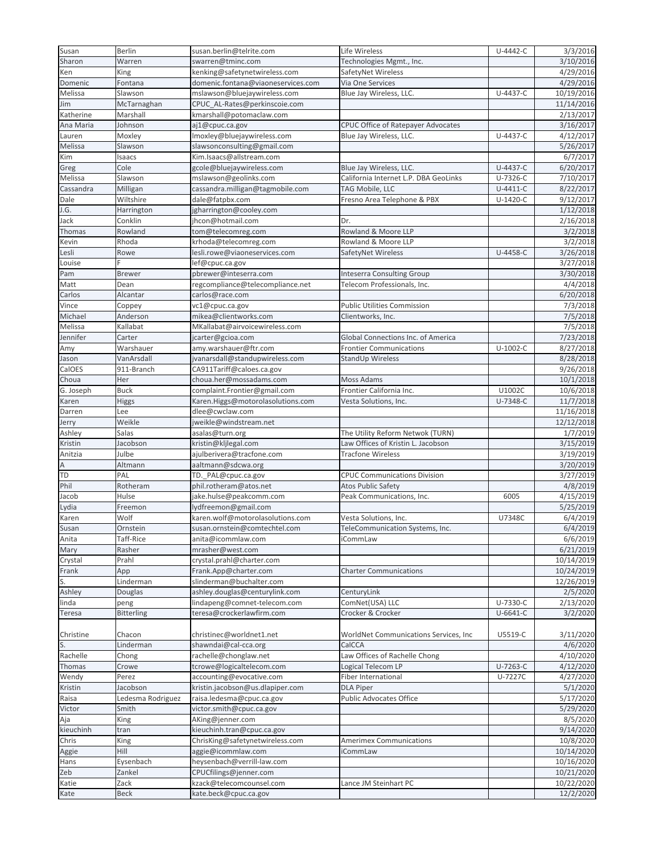| Susan          | Berlin              | susan.berlin@telrite.com               | Life Wireless                             | U-4442-C   | 3/3/2016   |
|----------------|---------------------|----------------------------------------|-------------------------------------------|------------|------------|
| Sharon         | Warren              | swarren@tminc.com                      | Technologies Mgmt., Inc.                  |            | 3/10/2016  |
| Ken            | King                | kenking@safetynetwireless.com          | SafetyNet Wireless                        |            | 4/29/2016  |
| Domenic        | Fontana             | domenic.fontana@viaoneservices.com     | Via One Services                          |            | 4/29/2016  |
| Melissa        | Slawson             | mslawson@bluejaywireless.com           | Blue Jay Wireless, LLC.                   | U-4437-C   | 10/19/2016 |
| Jim            | McTarnaghan         | CPUC_AL-Rates@perkinscoie.com          |                                           |            | 11/14/2016 |
| Katherine      | Marshall            | kmarshall@potomaclaw.com               |                                           |            | 2/13/2017  |
| Ana Maria      | Johnson             | aj1@cpuc.ca.gov                        | <b>CPUC Office of Ratepayer Advocates</b> |            | 3/16/2017  |
| Lauren         | Moxley              | Imoxley@bluejaywireless.com            | Blue Jay Wireless, LLC.                   | U-4437-C   | 4/12/2017  |
| Melissa        | Slawson             | slawsonconsulting@gmail.com            |                                           |            | 5/26/2017  |
| Kim            | Isaacs              | Kim.Isaacs@allstream.com               |                                           |            | 6/7/2017   |
| Greg           | Cole                | gcole@bluejaywireless.com              | Blue Jay Wireless, LLC.                   | U-4437-C   | 6/20/2017  |
| Melissa        | Slawson             | mslawson@geolinks.com                  | California Internet L.P. DBA GeoLinks     | U-7326-C   | 7/10/2017  |
| Cassandra      | Milligan            | cassandra.milligan@tagmobile.com       | TAG Mobile, LLC                           | $U-4411-C$ | 8/22/2017  |
|                |                     |                                        |                                           |            |            |
| Dale           | Wiltshire           | dale@fatpbx.com                        | Fresno Area Telephone & PBX               | $U-1420-C$ | 9/12/2017  |
| J.G.           | Harrington          | jgharrington@cooley.com                |                                           |            | 1/12/2018  |
| Jack           | Conklin             | jhcon@hotmail.com                      | Dr.                                       |            | 2/16/2018  |
| Thomas         | Rowland             | tom@telecomreg.com                     | Rowland & Moore LLP                       |            | 3/2/2018   |
| Kevin          | Rhoda               | krhoda@telecomreg.com                  | Rowland & Moore LLP                       |            | 3/2/2018   |
| Lesli          | Rowe                | lesli.rowe@viaoneservices.com          | SafetyNet Wireless                        | U-4458-C   | 3/26/2018  |
| Louise         |                     | lef@cpuc.ca.gov                        |                                           |            | 3/27/2018  |
| Pam            | <b>Brewer</b>       | pbrewer@inteserra.com                  | <b>Inteserra Consulting Group</b>         |            | 3/30/2018  |
| Matt           | Dean                | regcompliance@telecompliance.net       | Telecom Professionals, Inc.               |            | 4/4/2018   |
| Carlos         | Alcantar            | carlos@race.com                        |                                           |            | 6/20/2018  |
| Vince          | Coppey              | vc1@cpuc.ca.gov                        | <b>Public Utilities Commission</b>        |            | 7/3/2018   |
| Michael        | Anderson            | mikea@clientworks.com                  | Clientworks, Inc.                         |            | 7/5/2018   |
| Melissa        | Kallabat            | MKallabat@airvoicewireless.com         |                                           |            | 7/5/2018   |
| Jennifer       | Carter              | jcarter@gcioa.com                      | Global Connections Inc. of America        |            | 7/23/2018  |
| Amy            | Warshauer           | amy.warshauer@ftr.com                  | <b>Frontier Communications</b>            | $U-1002-C$ | 8/27/2018  |
| Jason          | VanArsdall          | jvanarsdall@standupwireless.com        | StandUp Wireless                          |            | 8/28/2018  |
| CalOES         | 911-Branch          | CA911Tariff@caloes.ca.gov              |                                           |            | 9/26/2018  |
|                |                     |                                        | Moss Adams                                |            |            |
| Choua          | Her                 | choua.her@mossadams.com                |                                           |            | 10/1/2018  |
| G. Joseph      | <b>Buck</b>         | complaint.Frontier@gmail.com           | Frontier California Inc.                  | U1002C     | 10/6/2018  |
| Karen          | Higgs               | Karen.Higgs@motorolasolutions.com      | Vesta Solutions, Inc.                     | U-7348-C   | 11/7/2018  |
| Darren         | Lee                 | dlee@cwclaw.com                        |                                           |            | 11/16/2018 |
| Jerry          | Weikle              | jweikle@windstream.net                 |                                           |            | 12/12/2018 |
| Ashley         | Salas               | asalas@turn.org                        | The Utility Reform Netwok (TURN)          |            | 1/7/2019   |
| Kristin        | Jacobson            | kristin@kljlegal.com                   | Law Offices of Kristin L. Jacobson        |            | 3/15/2019  |
| Anitzia        | Julbe               | ajulberivera@tracfone.com              | <b>Tracfone Wireless</b>                  |            | 3/19/2019  |
| $\overline{A}$ | Altmann             | aaltmann@sdcwa.org                     |                                           |            | 3/20/2019  |
| <b>TD</b>      | PAL                 | TD._PAL@cpuc.ca.gov                    | <b>CPUC Communications Division</b>       |            | 3/27/2019  |
| Phil           | Rotheram            | phil.rotheram@atos.net                 | <b>Atos Public Safety</b>                 |            | 4/8/2019   |
| Jacob          | Hulse               | jake.hulse@peakcomm.com                | Peak Communications, Inc.                 | 6005       | 4/15/2019  |
| Lydia          | Freemon             | lydfreemon@gmail.com                   |                                           |            | 5/25/2019  |
| Karen          | Wolf                | karen.wolf@motorolasolutions.com       | Vesta Solutions, Inc.                     | U7348C     | 6/4/2019   |
| Susan          | Ornstein            | susan.ornstein@comtechtel.com          | TeleCommunication Systems, Inc.           |            | 6/4/2019   |
| Anita          |                     |                                        |                                           |            | 6/6/2019   |
|                | Taff-Rice<br>Rasher | anita@icommlaw.com<br>mrasher@west.com | iCommLaw                                  |            | 6/21/2019  |
| Mary           |                     |                                        |                                           |            |            |
| Crystal        | Prahl               | crystal.prahl@charter.com              |                                           |            | 10/14/2019 |
| Frank          | App                 | Frank.App@charter.com                  | <b>Charter Communications</b>             |            | 10/24/2019 |
| S.<br>Ashley   | Linderman           | slinderman@buchalter.com               |                                           |            | 12/26/2019 |
|                | Douglas             | ashley.douglas@centurylink.com         | CenturyLink                               |            | 2/5/2020   |
| linda          | peng                | lindapeng@comnet-telecom.com           | ComNet(USA) LLC                           | U-7330-C   | 2/13/2020  |
| Teresa         | <b>Bitterling</b>   | teresa@crockerlawfirm.com              | Crocker & Crocker                         | U-6641-C   | 3/2/2020   |
|                |                     |                                        |                                           |            |            |
| Christine      | Chacon              | christinec@worldnet1.net               | WorldNet Communications Services, Inc.    | U5519-C    | 3/11/2020  |
| S.             | Linderman           | shawndai@cal-cca.org                   | CalCCA                                    |            | 4/6/2020   |
| Rachelle       | Chong               | rachelle@chonglaw.net                  | Law Offices of Rachelle Chong             |            | 4/10/2020  |
| Thomas         | Crowe               | tcrowe@logicaltelecom.com              | Logical Telecom LP                        | U-7263-C   | 4/12/2020  |
| Wendy          | Perez               | accounting@evocative.com               | <b>Fiber International</b>                | U-7227C    | 4/27/2020  |
| Kristin        | Jacobson            | kristin.jacobson@us.dlapiper.com       | <b>DLA Piper</b>                          |            | 5/1/2020   |
| Raisa          | Ledesma Rodriguez   | raisa.ledesma@cpuc.ca.gov              | Public Advocates Office                   |            | 5/17/2020  |
| Victor         | Smith               | victor.smith@cpuc.ca.gov               |                                           |            | 5/29/2020  |
| Aja            | King                | AKing@jenner.com                       |                                           |            | 8/5/2020   |
| kieuchinh      |                     | kieuchinh.tran@cpuc.ca.gov             |                                           |            | 9/14/2020  |
| Chris          | tran                |                                        |                                           |            |            |
|                | King                | ChrisKing@safetynetwireless.com        | <b>Amerimex Communications</b>            |            | 10/8/2020  |
| Aggie          | Hill                | aggie@icommlaw.com                     | iCommLaw                                  |            | 10/14/2020 |
| Hans           | Eysenbach           | heysenbach@verrill-law.com             |                                           |            | 10/16/2020 |
| Zeb            | Zankel              | CPUCfilings@jenner.com                 |                                           |            | 10/21/2020 |
| Katie          | Zack                | kzack@telecomcounsel.com               | Lance JM Steinhart PC                     |            | 10/22/2020 |
| Kate           | <b>Beck</b>         | kate.beck@cpuc.ca.gov                  |                                           |            | 12/2/2020  |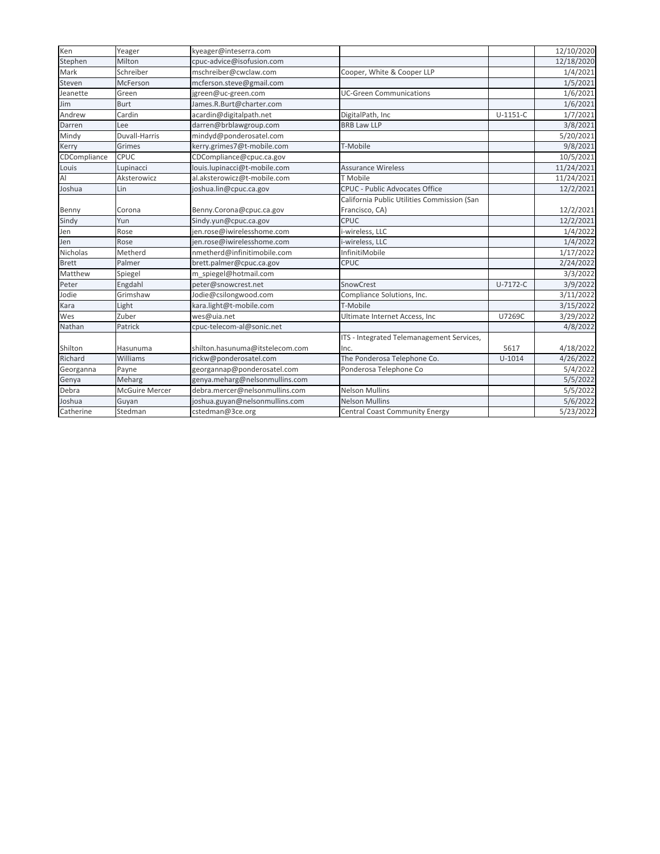| Ken            | Yeager                | kyeager@inteserra.com           |                                             |              | 12/10/2020 |
|----------------|-----------------------|---------------------------------|---------------------------------------------|--------------|------------|
| Stephen        | Milton                | cpuc-advice@isofusion.com       |                                             |              | 12/18/2020 |
| Mark           | Schreiber             | mschreiber@cwclaw.com           | Cooper, White & Cooper LLP                  |              | 1/4/2021   |
| Steven         | McFerson              | mcferson.steve@gmail.com        |                                             |              | 1/5/2021   |
| Jeanette       | Green                 | jgreen@uc-green.com             | <b>UC-Green Communications</b>              |              | 1/6/2021   |
| Jim            | <b>Burt</b>           | James.R.Burt@charter.com        |                                             |              | 1/6/2021   |
| Andrew         | Cardin                | acardin@digitalpath.net         | DigitalPath, Inc                            | $U-1151-C$   | 1/7/2021   |
| Darren         | Lee                   | darren@brblawgroup.com          | <b>BRB Law LLP</b>                          |              | 3/8/2021   |
| Mindy          | Duvall-Harris         | mindyd@ponderosatel.com         |                                             |              | 5/20/2021  |
| Kerry          | Grimes                | kerry.grimes7@t-mobile.com      | T-Mobile                                    |              | 9/8/2021   |
| CDCompliance   | CPUC                  | CDCompliance@cpuc.ca.gov        |                                             |              | 10/5/2021  |
| Louis          | Lupinacci             | louis.lupinacci@t-mobile.com    | <b>Assurance Wireless</b>                   |              | 11/24/2021 |
| $\overline{A}$ | Aksterowicz           | al.aksterowicz@t-mobile.com     | T Mobile                                    |              | 11/24/2021 |
| Joshua         | Lin                   | joshua.lin@cpuc.ca.gov          | <b>CPUC - Public Advocates Office</b>       |              | 12/2/2021  |
|                |                       |                                 | California Public Utilities Commission (San |              |            |
| Benny          | Corona                | Benny.Corona@cpuc.ca.gov        | Francisco, CA)                              |              | 12/2/2021  |
| Sindy          | Yun                   | Sindy.yun@cpuc.ca.gov           | <b>CPUC</b>                                 |              | 12/2/2021  |
| Jen            | Rose                  | jen.rose@iwirelesshome.com      | i-wireless, LLC                             |              | 1/4/2022   |
| Jen            | Rose                  | jen.rose@iwirelesshome.com      | i-wireless, LLC                             |              | 1/4/2022   |
| Nicholas       | Metherd               | nmetherd@infinitimobile.com     | InfinitiMobile                              |              | 1/17/2022  |
| <b>Brett</b>   | Palmer                | brett.palmer@cpuc.ca.gov        | <b>CPUC</b>                                 |              | 2/24/2022  |
| Matthew        | Spiegel               | m spiegel@hotmail.com           |                                             |              | 3/3/2022   |
| Peter          | Engdahl               | peter@snowcrest.net             | SnowCrest                                   | $U - 7172-C$ | 3/9/2022   |
| Jodie          | Grimshaw              | Jodie@csilongwood.com           | Compliance Solutions, Inc.                  |              | 3/11/2022  |
| Kara           | Light                 | kara.light@t-mobile.com         | T-Mobile                                    |              | 3/15/2022  |
| Wes            | Zuber                 | wes@uia.net                     | Ultimate Internet Access, Inc               | U7269C       | 3/29/2022  |
| Nathan         | Patrick               | cpuc-telecom-al@sonic.net       |                                             |              | 4/8/2022   |
|                |                       |                                 | ITS - Integrated Telemanagement Services,   |              |            |
| Shilton        | Hasunuma              | shilton.hasunuma@itstelecom.com | Inc.                                        | 5617         | 4/18/2022  |
| Richard        | Williams              | rickw@ponderosatel.com          | The Ponderosa Telephone Co.                 | $U-1014$     | 4/26/2022  |
| Georganna      | Payne                 | georgannap@ponderosatel.com     | Ponderosa Telephone Co                      |              | 5/4/2022   |
| Genya          | Meharg                | genya.meharg@nelsonmullins.com  |                                             |              | 5/5/2022   |
| Debra          | <b>McGuire Mercer</b> | debra.mercer@nelsonmullins.com  | <b>Nelson Mullins</b>                       |              | 5/5/2022   |
| Joshua         | Guyan                 | joshua.guyan@nelsonmullins.com  | <b>Nelson Mullins</b>                       |              | 5/6/2022   |
| Catherine      | Stedman               | cstedman@3ce.org                | <b>Central Coast Community Energy</b>       |              | 5/23/2022  |
|                |                       |                                 |                                             |              |            |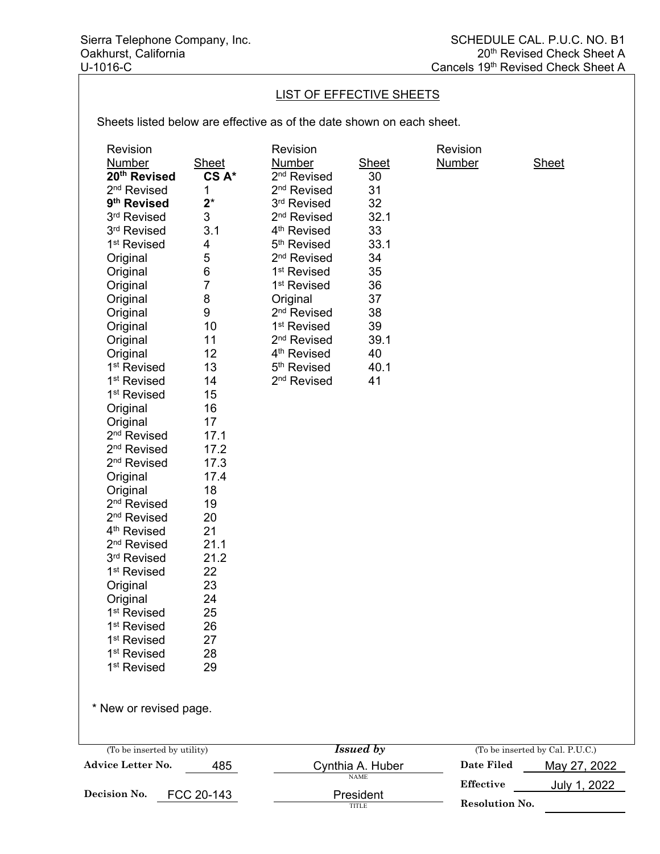## LIST OF EFFECTIVE SHEETS

Sheets listed below are effective as of the date shown on each sheet.

| Revision<br>Number<br>20th Revised<br>2 <sup>nd</sup> Revised<br>9 <sup>th</sup> Revised<br>3rd Revised<br>3rd Revised<br>1 <sup>st</sup> Revised<br>Original<br>Original<br>Original<br>Original<br>Original<br>Original<br>Original<br>Original<br>1 <sup>st</sup> Revised<br>1 <sup>st</sup> Revised<br>1 <sup>st</sup> Revised<br>Original<br>Original<br>2 <sup>nd</sup> Revised<br>2 <sup>nd</sup> Revised<br>2 <sup>nd</sup> Revised<br>Original<br>Original<br>2 <sup>nd</sup> Revised<br>2 <sup>nd</sup> Revised<br>4 <sup>th</sup> Revised<br>2 <sup>nd</sup> Revised<br>3rd Revised<br>1 <sup>st</sup> Revised<br>Original<br>Original<br>1 <sup>st</sup> Revised<br>1 <sup>st</sup> Revised<br>1 <sup>st</sup> Revised<br>1 <sup>st</sup> Revised<br>1 <sup>st</sup> Revised<br>* New or revised page. | <b>Sheet</b><br>CS A*<br>1<br>$2^*$<br>3<br>3.1<br>4<br>5<br>$\,6$<br>$\overline{7}$<br>8<br>$\boldsymbol{9}$<br>10<br>11<br>12<br>13<br>14<br>15<br>16<br>17<br>17.1<br>17.2<br>17.3<br>17.4<br>18<br>19<br>20<br>21<br>21.1<br>21.2<br>22<br>23<br>24<br>25<br>26<br>27<br>28<br>29 | Revision<br><b>Number</b><br>2 <sup>nd</sup> Revised<br>2 <sup>nd</sup> Revised<br>3rd Revised<br>2 <sup>nd</sup> Revised<br>4 <sup>th</sup> Revised<br>5 <sup>th</sup> Revised<br>2 <sup>nd</sup> Revised<br>1 <sup>st</sup> Revised<br>1 <sup>st</sup> Revised<br>Original<br>2 <sup>nd</sup> Revised<br>1 <sup>st</sup> Revised<br>2 <sup>nd</sup> Revised<br>4 <sup>th</sup> Revised<br>5 <sup>th</sup> Revised<br>2 <sup>nd</sup> Revised | <b>Sheet</b><br>30<br>31<br>32<br>32.1<br>33<br>33.1<br>34<br>35<br>36<br>37<br>38<br>39<br>39.1<br>40<br>40.1<br>41 | Revision<br><b>Number</b> | <b>Sheet</b>                    |
|--------------------------------------------------------------------------------------------------------------------------------------------------------------------------------------------------------------------------------------------------------------------------------------------------------------------------------------------------------------------------------------------------------------------------------------------------------------------------------------------------------------------------------------------------------------------------------------------------------------------------------------------------------------------------------------------------------------------------------------------------------------------------------------------------------------------|---------------------------------------------------------------------------------------------------------------------------------------------------------------------------------------------------------------------------------------------------------------------------------------|------------------------------------------------------------------------------------------------------------------------------------------------------------------------------------------------------------------------------------------------------------------------------------------------------------------------------------------------------------------------------------------------------------------------------------------------|----------------------------------------------------------------------------------------------------------------------|---------------------------|---------------------------------|
| (To be inserted by utility)                                                                                                                                                                                                                                                                                                                                                                                                                                                                                                                                                                                                                                                                                                                                                                                        |                                                                                                                                                                                                                                                                                       |                                                                                                                                                                                                                                                                                                                                                                                                                                                | <b>Issued by</b>                                                                                                     |                           | (To be inserted by Cal. P.U.C.) |
| Advice Letter No.                                                                                                                                                                                                                                                                                                                                                                                                                                                                                                                                                                                                                                                                                                                                                                                                  | 485                                                                                                                                                                                                                                                                                   |                                                                                                                                                                                                                                                                                                                                                                                                                                                | Cynthia A. Huber<br><b>NAME</b>                                                                                      | <b>Date Filed</b>         | May 27, 2022                    |
| Decision No.                                                                                                                                                                                                                                                                                                                                                                                                                                                                                                                                                                                                                                                                                                                                                                                                       | FCC 20-143                                                                                                                                                                                                                                                                            |                                                                                                                                                                                                                                                                                                                                                                                                                                                | President                                                                                                            | <b>Effective</b>          | July 1, 2022                    |
|                                                                                                                                                                                                                                                                                                                                                                                                                                                                                                                                                                                                                                                                                                                                                                                                                    |                                                                                                                                                                                                                                                                                       |                                                                                                                                                                                                                                                                                                                                                                                                                                                |                                                                                                                      |                           |                                 |

TITLE